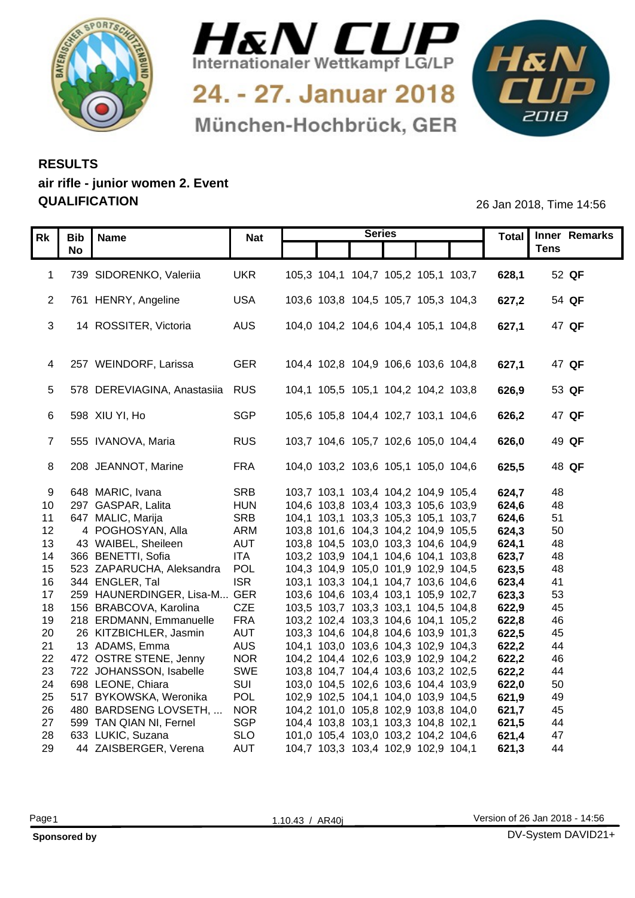



24. - 27. Januar 2018 München-Hochbrück, GER



## **RESULTS air rifle - junior women 2. Event QUALIFICATION** 26 Jan 2018, Time 14:56

|                  | Rk   Bib   Name                                         | <b>Nat</b>               |                                     | <b>Series</b> |                                     |                | Total Inner Remarks |
|------------------|---------------------------------------------------------|--------------------------|-------------------------------------|---------------|-------------------------------------|----------------|---------------------|
|                  | <b>No</b>                                               |                          |                                     |               |                                     |                | <b>Tens</b>         |
|                  | 1 739 SIDORENKO, Valeriia                               | <b>UKR</b>               |                                     |               | 105,3 104,1 104,7 105,2 105,1 103,7 | 628,1          | 52 QF               |
|                  |                                                         |                          |                                     |               |                                     |                |                     |
|                  | 2 761 HENRY, Angeline                                   | <b>USA</b>               |                                     |               | 103,6 103,8 104,5 105,7 105,3 104,3 | 627,2          | 54 QF               |
|                  |                                                         |                          |                                     |               |                                     |                |                     |
|                  | 14 ROSSITER, Victoria                                   | <b>AUS</b>               |                                     |               | 104,0 104,2 104,6 104,4 105,1 104,8 | 627,1          | 47 QF               |
|                  |                                                         |                          |                                     |               |                                     |                |                     |
|                  | 4 257 WEINDORF, Larissa                                 | <b>GER</b>               |                                     |               | 104,4 102,8 104,9 106,6 103,6 104,8 | 627.1          | 47 QF               |
|                  |                                                         |                          |                                     |               |                                     |                |                     |
|                  | 5 578 DEREVIAGINA, Anastasiia RUS                       |                          |                                     |               | 104,1 105,5 105,1 104,2 104,2 103,8 | 626,9          | 53 QF               |
|                  |                                                         |                          |                                     |               |                                     |                |                     |
|                  | 6 598 XIU YI, Ho                                        | <b>SGP</b>               |                                     |               | 105,6 105,8 104,4 102,7 103,1 104,6 | 626,2          | 47 QF               |
|                  | 7 555 IVANOVA, Maria                                    |                          |                                     |               |                                     | 626,0          | 49 QF               |
|                  |                                                         | <b>RUS</b>               |                                     |               | 103,7 104,6 105,7 102,6 105,0 104,4 |                |                     |
|                  | 8 208 JEANNOT, Marine                                   | <b>FRA</b>               |                                     |               | 104,0 103,2 103,6 105,1 105,0 104,6 | 625,5          | 48 QF               |
|                  |                                                         |                          |                                     |               |                                     |                |                     |
|                  | 9 648 MARIC, Ivana                                      | <b>SRB</b>               |                                     |               | 103,7 103,1 103,4 104,2 104,9 105,4 | 624,7          | 48                  |
|                  | 10 297 GASPAR, Lalita                                   | <b>HUN</b>               |                                     |               | 104,6 103,8 103,4 103,3 105,6 103,9 | 624,6          | 48                  |
|                  | 11 647 MALIC, Marija                                    | <b>SRB</b>               |                                     |               | 104,1 103,1 103,3 105,3 105,1 103,7 | 624,6          | 51                  |
| 12 <sup>12</sup> | 4 POGHOSYAN, Alla                                       | ARM                      |                                     |               | 103,8 101,6 104,3 104,2 104,9 105,5 | 624,3          | 50                  |
| 13 <sup>7</sup>  | 43 WAIBEL, Sheileen<br>14 366 BENETTI, Sofia            | <b>AUT</b><br><b>ITA</b> | 103,2 103,9 104,1 104,6 104,1 103,8 |               | 103,8 104,5 103,0 103,3 104,6 104,9 | 624,1<br>623,7 | 48<br>48            |
|                  | 15 523 ZAPARUCHA, Aleksandra POL                        |                          | 104,3 104,9 105,0 101,9 102,9 104,5 |               |                                     | 623,5          | 48                  |
|                  | 16 344 ENGLER, Tal                                      | <b>ISR</b>               |                                     |               | 103,1 103,3 104,1 104,7 103,6 104,6 | 623,4          | 41                  |
| 17               | 259 HAUNERDINGER, Lisa-M GER                            |                          |                                     |               | 103,6 104,6 103,4 103,1 105,9 102,7 | 623,3          | 53                  |
|                  | 18 156 BRABCOVA, Karolina                               | CZE                      |                                     |               | 103,5 103,7 103,3 103,1 104,5 104,8 | 622,9          | 45                  |
|                  | 19 218 ERDMANN, Emmanuelle                              | <b>FRA</b>               | 103,2 102,4 103,3 104,6 104,1 105,2 |               |                                     | 622,8          | 46                  |
|                  | 20 26 KITZBICHLER, Jasmin                               | <b>AUT</b>               |                                     |               | 103,3 104,6 104,8 104,6 103,9 101,3 | 622,5          | 45                  |
|                  | 21 13 ADAMS, Emma                                       | <b>AUS</b>               |                                     |               | 104,1 103,0 103,6 104,3 102,9 104,3 | 622,2          | 44                  |
|                  | 22 472 OSTRE STENE, Jenny<br>23 722 JOHANSSON, Isabelle | <b>NOR</b><br>SWE        | 104,2 104,4 102,6 103,9 102,9 104,2 |               |                                     | 622,2<br>622,2 | 46<br>44            |
|                  | 24 698 LEONE, Chiara                                    | SUI                      | 103,8 104,7 104,4 103,6 103,2 102,5 |               | 103,0 104,5 102,6 103,6 104,4 103,9 | 622,0          | 50                  |
|                  | 25 517 BYKOWSKA, Weronika                               | POL                      | 102,9 102,5 104,1 104,0 103,9 104,5 |               |                                     | 621,9          | 49                  |
|                  | 26 480 BARDSENG LOVSETH,                                | <b>NOR</b>               |                                     |               | 104,2 101,0 105,8 102,9 103,8 104,0 | 621,7          | 45                  |
|                  | 27 599 TAN QIAN NI, Fernel                              | <b>SGP</b>               |                                     |               | 104,4 103,8 103,1 103,3 104,8 102,1 | 621,5          | 44                  |
|                  | 28 633 LUKIC, Suzana                                    | <b>SLO</b>               | 101,0 105,4 103,0 103,2 104,2 104,6 |               |                                     | 621,4          | 47                  |
|                  | 29 44 ZAISBERGER, Verena                                | AUT                      | 104,7 103,3 103,4 102,9 102,9 104,1 |               |                                     | 621,3          | 44                  |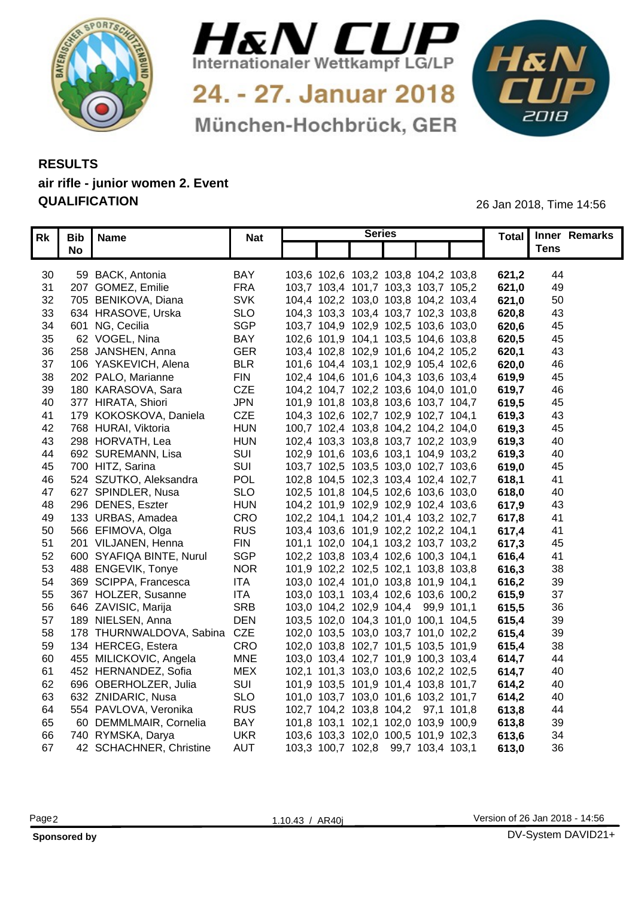



24. - 27. Januar 2018 München-Hochbrück, GER



## **RESULTS air rifle - junior women 2. Event QUALIFICATION** 26 Jan 2018, Time 14:56

|    | Rk   Bib   Name                 | <b>Nat</b> | <b>Series</b>                       |       | Total Inner Remarks |
|----|---------------------------------|------------|-------------------------------------|-------|---------------------|
|    | <b>No</b>                       |            |                                     |       | <b>Tens</b>         |
|    |                                 |            |                                     |       |                     |
| 30 | 59 BACK, Antonia                | BAY        | 103,6 102,6 103,2 103,8 104,2 103,8 | 621,2 | -44                 |
|    | 31 207 GOMEZ, Emilie            | <b>FRA</b> | 103,7 103,4 101,7 103,3 103,7 105,2 | 621,0 | 49                  |
|    | 32 705 BENIKOVA, Diana          | <b>SVK</b> | 104,4 102,2 103,0 103,8 104,2 103,4 | 621,0 | 50                  |
| 33 | 634 HRASOVE, Urska              | <b>SLO</b> | 104,3 103,3 103,4 103,7 102,3 103,8 | 620,8 | -43                 |
|    | 34 601 NG, Cecilia              | <b>SGP</b> | 103,7 104,9 102,9 102,5 103,6 103,0 | 620,6 | 45                  |
| 35 | 62 VOGEL, Nina                  | <b>BAY</b> | 102,6 101,9 104,1 103,5 104,6 103,8 | 620,5 | 45                  |
| 36 | 258 JANSHEN, Anna               | <b>GER</b> | 103,4 102,8 102,9 101,6 104,2 105,2 | 620,7 | 43                  |
| 37 | 106 YASKEVICH, Alena            | <b>BLR</b> | 101,6 104,4 103,1 102,9 105,4 102,6 | 620,0 | 46                  |
| 38 | 202 PALO, Marianne              | <b>FIN</b> | 102,4 104,6 101,6 104,3 103,6 103,4 | 619,9 | 45                  |
| 39 | 180 KARASOVA, Sara              | <b>CZE</b> | 104,2 104,7 102,2 103,6 104,0 101,0 | 619,7 | 46                  |
| 40 | 377 HIRATA, Shiori              | <b>JPN</b> | 101,9 101,8 103,8 103,6 103,7 104,7 | 619,5 | 45                  |
| 41 | 179 KOKOSKOVA, Daniela          | CZE        | 104,3 102,6 102,7 102,9 102,7 104,1 | 619,3 | 43                  |
|    | 42 768 HURAI, Viktoria          | <b>HUN</b> | 100,7 102,4 103,8 104,2 104,2 104,0 | 619,3 | 45                  |
| 43 | 298 HORVATH, Lea                | <b>HUN</b> | 102,4 103,3 103,8 103,7 102,2 103,9 | 619,3 | 40                  |
| 44 | 692 SUREMANN, Lisa              | SUI        | 102,9 101,6 103,6 103,1 104,9 103,2 | 619,3 | 40                  |
|    | 45 700 HITZ, Sarina             | SUI        | 103,7 102,5 103,5 103,0 102,7 103,6 | 619,0 | 45                  |
| 46 | 524 SZUTKO, Aleksandra          | <b>POL</b> | 102,8 104,5 102,3 103,4 102,4 102,7 | 618,  | -41                 |
| 47 | 627 SPINDLER, Nusa              | <b>SLO</b> | 102,5 101,8 104,5 102,6 103,6 103,0 | 618,0 | 40                  |
|    | 48 296 DENES, Eszter            | <b>HUN</b> | 104,2 101,9 102,9 102,9 102,4 103,6 | 617,9 | 43                  |
| 49 | 133 URBAS, Amadea               | CRO        | 102,2 104,1 104,2 101,4 103,2 102,7 | 617,8 | -41                 |
| 50 | 566 EFIMOVA, Olga               | <b>RUS</b> | 103,4 103,6 101,9 102,2 102,2 104,1 | 617,4 | -41                 |
|    | 51 201 VILJANEN, Henna          | <b>FIN</b> | 101,1 102,0 104,1 103,2 103,7 103,2 | 617,3 | 45                  |
|    | 52 600 SYAFIQA BINTE, Nurul     | <b>SGP</b> | 102,2 103,8 103,4 102,6 100,3 104,1 | 616,4 | -41                 |
|    | 53 488 ENGEVIK, Tonye           | <b>NOR</b> | 101,9 102,2 102,5 102,1 103,8 103,8 | 616,3 | 38                  |
|    | 54 369 SCIPPA, Francesca        | <b>ITA</b> | 103,0 102,4 101,0 103,8 101,9 104,1 | 616,2 | 39                  |
|    | 55 367 HOLZER, Susanne          | <b>ITA</b> | 103,0 103,1 103,4 102,6 103,6 100,2 | 615,9 | 37                  |
|    | 56 646 ZAVISIC, Marija          | <b>SRB</b> | 103,0 104,2 102,9 104,4 99,9 101,1  | 615,5 | 36                  |
|    | 57 189 NIELSEN, Anna            | <b>DEN</b> | 103,5 102,0 104,3 101,0 100,1 104,5 | 615,4 | 39                  |
|    | 58 178 THURNWALDOVA, Sabina CZE |            | 102,0 103,5 103,0 103,7 101,0 102,2 | 615,4 | 39                  |
|    | 59 134 HERCEG, Estera           | CRO        | 102,0 103,8 102,7 101,5 103,5 101,9 | 615,4 | 38                  |
|    | 60 455 MILICKOVIC, Angela       | <b>MNE</b> | 103,0 103,4 102,7 101,9 100,3 103,4 | 614,7 | -44                 |
|    | 61 452 HERNANDEZ, Sofia         | <b>MEX</b> | 102,1 101,3 103,0 103,6 102,2 102,5 | 614,7 | 40                  |
|    | 62 696 OBERHOLZER, Julia        | SUI        | 101,9 103,5 101,9 101,4 103,8 101,7 | 614,2 | 40                  |
| 63 | 632 ZNIDARIC, Nusa              | <b>SLO</b> | 101,0 103,7 103,0 101,6 103,2 101,7 | 614,2 | 40                  |
| 64 | 554 PAVLOVA, Veronika           | <b>RUS</b> | 102,7 104,2 103,8 104,2 97,1 101,8  | 613,8 | 44                  |
| 65 | 60 DEMMLMAIR, Cornelia          | <b>BAY</b> | 101,8 103,1 102,1 102,0 103,9 100,9 | 613,8 | 39                  |
|    | 66 740 RYMSKA, Darya            | <b>UKR</b> | 103,6 103,3 102,0 100,5 101,9 102,3 | 613,6 | 34                  |
| 67 | 42 SCHACHNER, Christine         | <b>AUT</b> | 103,3 100,7 102,8 99,7 103,4 103,1  | 613,0 | 36                  |
|    |                                 |            |                                     |       |                     |